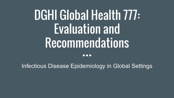# DGHI Global Health 777: Evaluation and Recommendations

Infectious Disease Epidemiology in Global Settings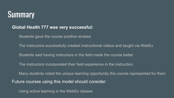### **Summary**

#### **Global Health 777 was very successful:**

Students gave the course positive reviews

The instructors successfully created instructional videos and taught via WebEx

Students said having instructors in the field made the course better

The instructors incorporated their field experience in the instruction

Many students noted the unique learning opportunity this course represented for them

Future courses using this model should consider:

Using active learning in the WebEx classes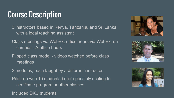### Course Description

3 instructors based in Kenya, Tanzania, and Sri Lanka with a local teaching assistant

Class meetings via WebEx, office hours via WebEx, oncampus TA office hours

Flipped class model - videos watched before class meetings

3 modules, each taught by a different instructor

Pilot run with 10 students before possibly scaling to certificate program or other classes

Included DKU students





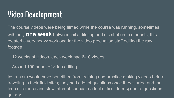### Video Development

The course videos were being filmed while the course was running, sometimes with only **one week** between initial filming and distribution to students; this created a very heavy workload for the video production staff editing the raw footage

12 weeks of videos, each week had 6-10 videos

Around 100 hours of video editing

Instructors would have benefitted from training and practice making videos before traveling to their field sites; they had a lot of questions once they started and the time difference and slow internet speeds made it difficult to respond to questions quickly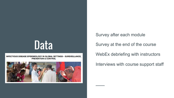## Data

#### INFECTIOUS DISEASE EPIDEMIOLOGY IN GLOBAL SETTINGS-- SUREVEILLANCE, **PREVENTION & CONTROL**



Survey after each module

Survey at the end of the course

WebEx debriefing with instructors

Interviews with course support staff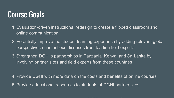#### Course Goals

- 1.Evaluation-driven instructional redesign to create a flipped classroom and online communication
- 2.Potentially improve the student learning experience by adding relevant global perspectives on infectious diseases from leading field experts
- 3.Strengthen DGHI's partnerships in Tanzania, Kenya, and Sri Lanka by involving partner sites and field experts from these countries
- 4.Provide DGHI with more data on the costs and benefits of online courses 5.Provide educational resources to students at DGHI partner sites.

6.Potentially reuse content for a future DGHI online certificate program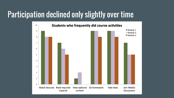#### Participation declined only slightly over time

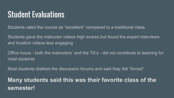#### Student Evaluations

Students rated the course as "excellent" compared to a traditional class

Students gave the instructor videos high scores but found the expert interviews and location videos less engaging

Office hours - both the instructors' and the TA's - did not contribute to learning for most students

Most students disliked the discussion forums and said they felt "forced"

**Many students said this was their favorite class of the semester!**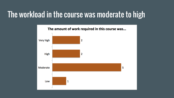#### The workload in the course was moderate to high

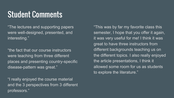#### Student Comments

"The lectures and supporting papers were well-designed, presented, and interesting."

"the fact that our course instructors were teaching from three different places and presenting country-specific disease-pattern was great."

"I really enjoyed the course material and the 3 perspectives from 3 different professors."

"This was by far my favorite class this semester, I hope that you offer it again, it was very useful for me! I think it was great to have three instructors from different backgrounds teaching us on the different topics. I also really enjoyed the article presentations, I think it allowed some room for us as students to explore the literature."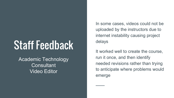## Staff Feedback

Academic Technology **Consultant** Video Editor

In some cases, videos could not be uploaded by the instructors due to internet instability causing project delays

It worked well to create the course, run it once, and then identify needed revisions rather than trying to anticipate where problems would emerge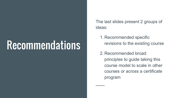## **Recommendations**

The last slides present 2 groups of ideas:

1. Recommended specific revisions to the existing course

2. Recommended broad principles to guide taking this course model to scale in other courses or across a certificate program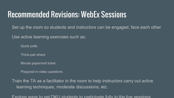#### Recommended Revisions: WebEx Sessions

Set up the room so students and instructors can be engaged, face each other

Use active learning exercises such as:

Quick polls

Think-pair-share

Minute paper/exit ticket

Playposit in-video questions

Train the TA as a facilitator in the room to help instructors carry out active learning techniques, moderate discussions, etc.

Explore ways to get DKU students to participate fully in the live sessions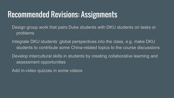#### Recommended Revisions: Assignments

Design group work that pairs Duke students with DKU students on tasks or problems

Integrate DKU students' global perspectives into the class, e.g. make DKU students to contribute some China-related topics to the course discussions

Develop intercultural skills in students by creating collaborative learning and assessment opportunities

Add in-video quizzes in some videos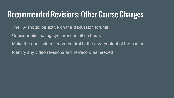#### Recommended Revisions: Other Course Changes

- The TA should be active on the discussion forums
- Consider eliminating synchronous office hours
- Make the guest videos more central to the core content of the course
- Identify any video revisions and re-record as needed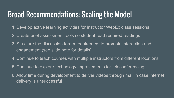#### Broad Recommendations: Scaling the Model

- 1. Develop active learning activities for instructor WebEx class sessions
- 2. Create brief assessment tools so student read required readings
- 3.Structure the discussion forum requirement to promote interaction and engagement (see slide note for details)
- 4. Continue to teach courses with multiple instructors from different locations
- 5. Continue to explore technology improvements for teleconferencing
- 6.Allow time during development to deliver videos through mail in case internet delivery is unsuccessful